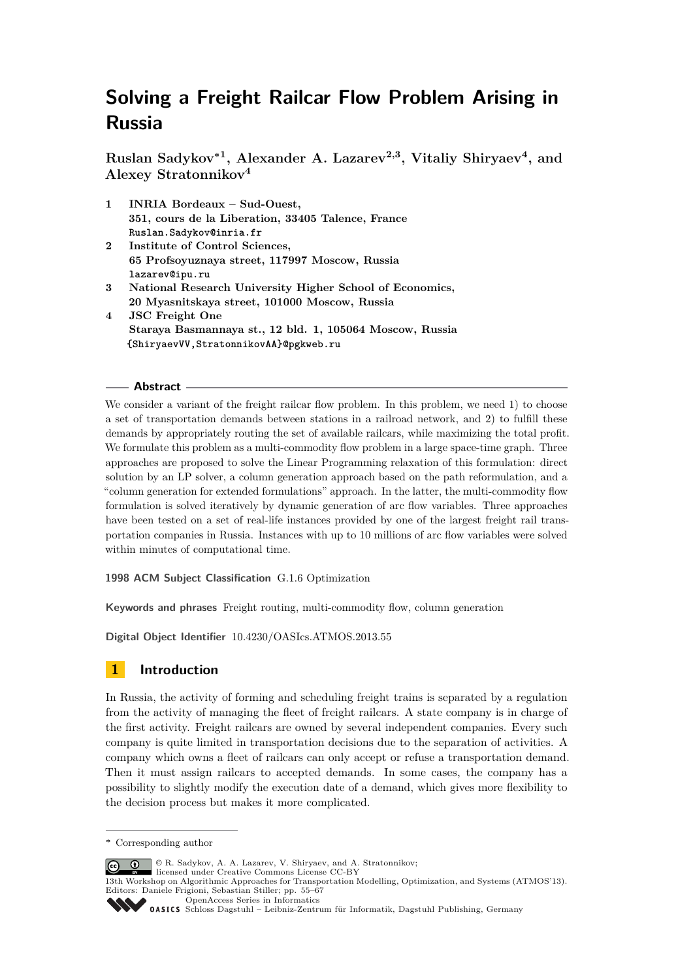**Ruslan Sadykov<sup>∗</sup><sup>1</sup> , Alexander A. Lazarev2,3, Vitaliy Shiryaev<sup>4</sup> , and Alexey Stratonnikov<sup>4</sup>**

- **1 INRIA Bordeaux Sud-Ouest, 351, cours de la Liberation, 33405 Talence, France Ruslan.Sadykov@inria.fr**
- **2 Institute of Control Sciences, 65 Profsoyuznaya street, 117997 Moscow, Russia lazarev@ipu.ru**
- **3 National Research University Higher School of Economics, 20 Myasnitskaya street, 101000 Moscow, Russia**
- **4 JSC Freight One Staraya Basmannaya st., 12 bld. 1, 105064 Moscow, Russia {ShiryaevVV,StratonnikovAA}@pgkweb.ru**

## **Abstract**

We consider a variant of the freight railcar flow problem. In this problem, we need 1) to choose a set of transportation demands between stations in a railroad network, and 2) to fulfill these demands by appropriately routing the set of available railcars, while maximizing the total profit. We formulate this problem as a multi-commodity flow problem in a large space-time graph. Three approaches are proposed to solve the Linear Programming relaxation of this formulation: direct solution by an LP solver, a column generation approach based on the path reformulation, and a "column generation for extended formulations" approach. In the latter, the multi-commodity flow formulation is solved iteratively by dynamic generation of arc flow variables. Three approaches have been tested on a set of real-life instances provided by one of the largest freight rail transportation companies in Russia. Instances with up to 10 millions of arc flow variables were solved within minutes of computational time.

**1998 ACM Subject Classification** G.1.6 Optimization

**Keywords and phrases** Freight routing, multi-commodity flow, column generation

**Digital Object Identifier** [10.4230/OASIcs.ATMOS.2013.55](http://dx.doi.org/10.4230/OASIcs.ATMOS.2013.55)

# **1 Introduction**

In Russia, the activity of forming and scheduling freight trains is separated by a regulation from the activity of managing the fleet of freight railcars. A state company is in charge of the first activity. Freight railcars are owned by several independent companies. Every such company is quite limited in transportation decisions due to the separation of activities. A company which owns a fleet of railcars can only accept or refuse a transportation demand. Then it must assign railcars to accepted demands. In some cases, the company has a possibility to slightly modify the execution date of a demand, which gives more flexibility to the decision process but makes it more complicated.

© R. Sadykov, A. A. Lazarev, V. Shiryaev, and A. Stratonnikov;  $\boxed{6}$  0

**<sup>∗</sup>** Corresponding author

licensed under Creative Commons License CC-BY

<sup>13</sup>th Workshop on Algorithmic Approaches for Transportation Modelling, Optimization, and Systems (ATMOS'13). Editors: Daniele Frigioni, Sebastian Stiller; pp. 55[–67](#page-12-0) [OpenAccess Series in Informatics](http://www.dagstuhl.de/oasics/)

[Schloss Dagstuhl – Leibniz-Zentrum für Informatik, Dagstuhl Publishing, Germany](http://www.dagstuhl.de/)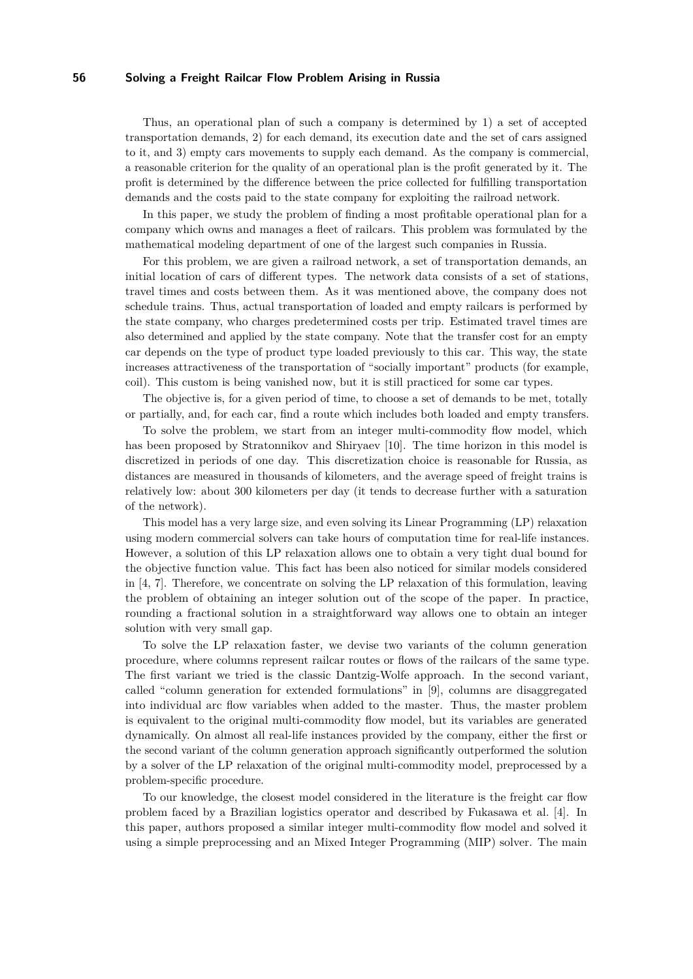Thus, an operational plan of such a company is determined by 1) a set of accepted transportation demands, 2) for each demand, its execution date and the set of cars assigned to it, and 3) empty cars movements to supply each demand. As the company is commercial, a reasonable criterion for the quality of an operational plan is the profit generated by it. The profit is determined by the difference between the price collected for fulfilling transportation demands and the costs paid to the state company for exploiting the railroad network.

In this paper, we study the problem of finding a most profitable operational plan for a company which owns and manages a fleet of railcars. This problem was formulated by the mathematical modeling department of one of the largest such companies in Russia.

For this problem, we are given a railroad network, a set of transportation demands, an initial location of cars of different types. The network data consists of a set of stations, travel times and costs between them. As it was mentioned above, the company does not schedule trains. Thus, actual transportation of loaded and empty railcars is performed by the state company, who charges predetermined costs per trip. Estimated travel times are also determined and applied by the state company. Note that the transfer cost for an empty car depends on the type of product type loaded previously to this car. This way, the state increases attractiveness of the transportation of "socially important" products (for example, coil). This custom is being vanished now, but it is still practiced for some car types.

The objective is, for a given period of time, to choose a set of demands to be met, totally or partially, and, for each car, find a route which includes both loaded and empty transfers.

To solve the problem, we start from an integer multi-commodity flow model, which has been proposed by Stratonnikov and Shiryaev [\[10\]](#page-12-1). The time horizon in this model is discretized in periods of one day. This discretization choice is reasonable for Russia, as distances are measured in thousands of kilometers, and the average speed of freight trains is relatively low: about 300 kilometers per day (it tends to decrease further with a saturation of the network).

This model has a very large size, and even solving its Linear Programming (LP) relaxation using modern commercial solvers can take hours of computation time for real-life instances. However, a solution of this LP relaxation allows one to obtain a very tight dual bound for the objective function value. This fact has been also noticed for similar models considered in [\[4,](#page-11-0) [7\]](#page-11-1). Therefore, we concentrate on solving the LP relaxation of this formulation, leaving the problem of obtaining an integer solution out of the scope of the paper. In practice, rounding a fractional solution in a straightforward way allows one to obtain an integer solution with very small gap.

To solve the LP relaxation faster, we devise two variants of the column generation procedure, where columns represent railcar routes or flows of the railcars of the same type. The first variant we tried is the classic Dantzig-Wolfe approach. In the second variant, called "column generation for extended formulations" in [\[9\]](#page-12-2), columns are disaggregated into individual arc flow variables when added to the master. Thus, the master problem is equivalent to the original multi-commodity flow model, but its variables are generated dynamically. On almost all real-life instances provided by the company, either the first or the second variant of the column generation approach significantly outperformed the solution by a solver of the LP relaxation of the original multi-commodity model, preprocessed by a problem-specific procedure.

To our knowledge, the closest model considered in the literature is the freight car flow problem faced by a Brazilian logistics operator and described by Fukasawa et al. [\[4\]](#page-11-0). In this paper, authors proposed a similar integer multi-commodity flow model and solved it using a simple preprocessing and an Mixed Integer Programming (MIP) solver. The main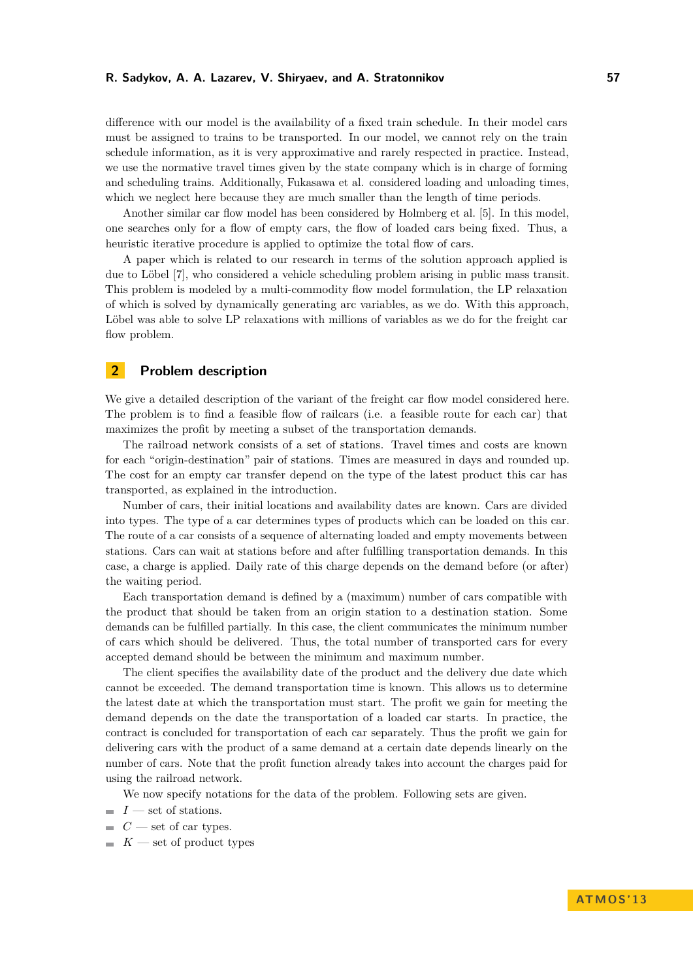#### **R. Sadykov, A. A. Lazarev, V. Shiryaev, and A. Stratonnikov 57**

difference with our model is the availability of a fixed train schedule. In their model cars must be assigned to trains to be transported. In our model, we cannot rely on the train schedule information, as it is very approximative and rarely respected in practice. Instead, we use the normative travel times given by the state company which is in charge of forming and scheduling trains. Additionally, Fukasawa et al. considered loading and unloading times, which we neglect here because they are much smaller than the length of time periods.

Another similar car flow model has been considered by Holmberg et al. [\[5\]](#page-11-2). In this model, one searches only for a flow of empty cars, the flow of loaded cars being fixed. Thus, a heuristic iterative procedure is applied to optimize the total flow of cars.

A paper which is related to our research in terms of the solution approach applied is due to Löbel [\[7\]](#page-11-1), who considered a vehicle scheduling problem arising in public mass transit. This problem is modeled by a multi-commodity flow model formulation, the LP relaxation of which is solved by dynamically generating arc variables, as we do. With this approach, Löbel was able to solve LP relaxations with millions of variables as we do for the freight car flow problem.

# **2 Problem description**

We give a detailed description of the variant of the freight car flow model considered here. The problem is to find a feasible flow of railcars (i.e. a feasible route for each car) that maximizes the profit by meeting a subset of the transportation demands.

The railroad network consists of a set of stations. Travel times and costs are known for each "origin-destination" pair of stations. Times are measured in days and rounded up. The cost for an empty car transfer depend on the type of the latest product this car has transported, as explained in the introduction.

Number of cars, their initial locations and availability dates are known. Cars are divided into types. The type of a car determines types of products which can be loaded on this car. The route of a car consists of a sequence of alternating loaded and empty movements between stations. Cars can wait at stations before and after fulfilling transportation demands. In this case, a charge is applied. Daily rate of this charge depends on the demand before (or after) the waiting period.

Each transportation demand is defined by a (maximum) number of cars compatible with the product that should be taken from an origin station to a destination station. Some demands can be fulfilled partially. In this case, the client communicates the minimum number of cars which should be delivered. Thus, the total number of transported cars for every accepted demand should be between the minimum and maximum number.

The client specifies the availability date of the product and the delivery due date which cannot be exceeded. The demand transportation time is known. This allows us to determine the latest date at which the transportation must start. The profit we gain for meeting the demand depends on the date the transportation of a loaded car starts. In practice, the contract is concluded for transportation of each car separately. Thus the profit we gain for delivering cars with the product of a same demand at a certain date depends linearly on the number of cars. Note that the profit function already takes into account the charges paid for using the railroad network.

We now specify notations for the data of the problem. Following sets are given.

- $I$  set of stations.
- $C$  set of car types.
- $K$  set of product types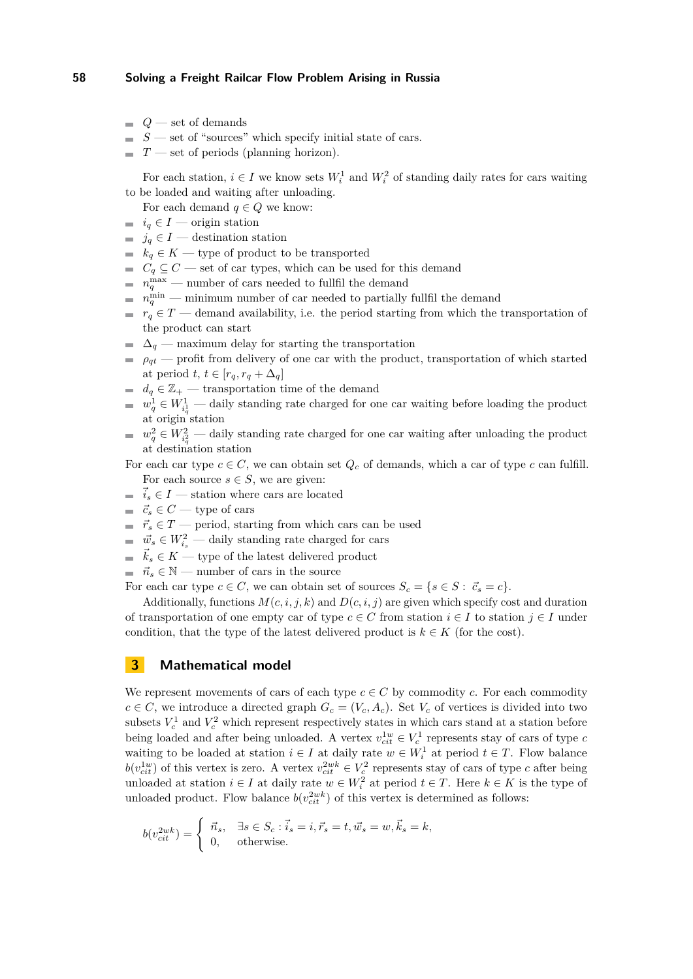- $Q$  set of demands
- $S$  set of "sources" which specify initial state of cars.
- *T* set of periods (planning horizon).

For each station,  $i \in I$  we know sets  $W_i^1$  and  $W_i^2$  of standing daily rates for cars waiting to be loaded and waiting after unloading.

For each demand  $q \in Q$  we know:

- $\blacksquare$  *i*<sub>q</sub> ∈ *I* origin station
- $\blacksquare$  *j<sub>q</sub>* ∈ *I* destination station
- $\blacksquare$  *k<sub>q</sub>* ∈ *K* type of product to be transported
- $C_q \subseteq C$  set of car types, which can be used for this demand
- $n_q^{\text{max}}$  number of cars needed to fullfil the demand
- $n_q^{\text{min}}$  minimum number of car needed to partially fullfil the demand
- *r*<sub>*q*</sub>  $\in$  *T* demand availability, i.e. the period starting from which the transportation of the product can start
- $\Delta_q$  maximum delay for starting the transportation
- $\rho_{qt}$  profit from delivery of one car with the product, transportation of which started at period  $t, t \in [r_q, r_q + \Delta_q]$
- $d_q \in \mathbb{Z}_+$  transportation time of the demand
- $w_q^1 \in W_{i_q}^1$  daily standing rate charged for one car waiting before loading the product at origin station
- $w_q^2 \in W_{i_q^2}^2$  daily standing rate charged for one car waiting after unloading the product at destination station

For each car type  $c \in C$ , we can obtain set  $Q_c$  of demands, which a car of type c can fulfill. For each source  $s \in S$ , we are given:

- $\vec{i}_s \in I$  station where cars are located
- $\vec{c}_s$  ∈ *C* type of cars
- $\vec{r}_s \in T$  period, starting from which cars can be used
- $\vec{w}_s \in W_{i_s}^2$  daily standing rate charged for cars
- $\vec{k}_s \in K$  type of the latest delivered product
- $\vec{n}_s \in \mathbb{N}$  number of cars in the source
- For each car type  $c \in C$ , we can obtain set of sources  $S_c = \{s \in S : \vec{c}_s = c\}.$

Additionally, functions  $M(c, i, j, k)$  and  $D(c, i, j)$  are given which specify cost and duration of transportation of one empty car of type  $c \in C$  from station  $i \in I$  to station  $j \in I$  under condition, that the type of the latest delivered product is  $k \in K$  (for the cost).

## **3 Mathematical model**

We represent movements of cars of each type  $c \in C$  by commodity *c*. For each commodity  $c \in C$ , we introduce a directed graph  $G_c = (V_c, A_c)$ . Set  $V_c$  of vertices is divided into two subsets  $V_c^1$  and  $V_c^2$  which represent respectively states in which cars stand at a station before being loaded and after being unloaded. A vertex  $v_{ci}^{1w} \in V_c^1$  represents stay of cars of type *c* waiting to be loaded at station  $i \in I$  at daily rate  $w \in W_i^1$  at period  $t \in T$ . Flow balance  $b(v_{cit}^{1w})$  of this vertex is zero. A vertex  $v_{cit}^{2wk} \in V_c^2$  represents stay of cars of type *c* after being unloaded at station  $i \in I$  at daily rate  $w \in W_i^2$  at period  $t \in T$ . Here  $k \in K$  is the type of unloaded product. Flow balance  $b(v_{cit}^{2wk})$  of this vertex is determined as follows:

$$
b(v_{cit}^{2wk}) = \begin{cases} \vec{n}_s, & \exists s \in S_c : \vec{i}_s = i, \vec{r}_s = t, \vec{w}_s = w, \vec{k}_s = k, \\ 0, & \text{otherwise.} \end{cases}
$$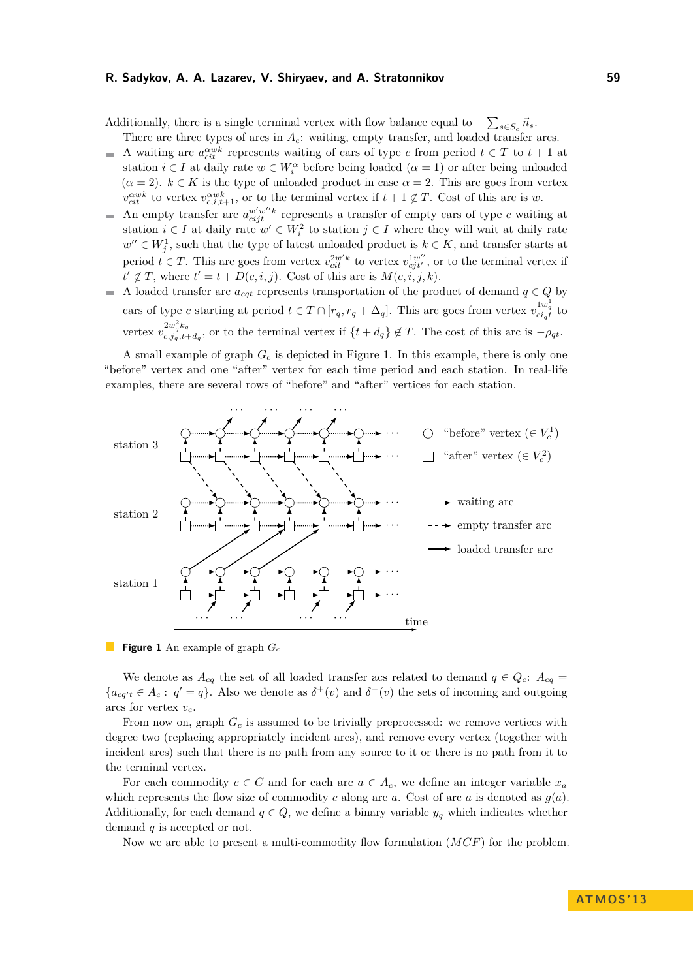## **R. Sadykov, A. A. Lazarev, V. Shiryaev, and A. Stratonnikov 59**

Additionally, there is a single terminal vertex with flow balance equal to  $-\sum_{s \in S_c} \vec{n}_s$ .

- There are three types of arcs in *Ac*: waiting, empty transfer, and loaded transfer arcs. A waiting arc  $a_{\text{crit}}^{\alpha w k}$  represents waiting of cars of type *c* from period  $t \in T$  to  $t + 1$  at  $\overline{\phantom{a}}$
- station  $i \in I$  at daily rate  $w \in W_i^{\alpha}$  before being loaded  $(\alpha = 1)$  or after being unloaded  $(\alpha = 2)$ .  $k \in K$  is the type of unloaded product in case  $\alpha = 2$ . This arc goes from vertex  $v_{cit}^{\alpha wk}$  to vertex  $v_{c,i,t+1}^{\alpha wk}$ , or to the terminal vertex if  $t + 1 \notin T$ . Cost of this arc is *w*.
- An empty transfer arc  $a_{cijt}^{w'w''k}$  represents a transfer of empty cars of type *c* waiting at station  $i \in I$  at daily rate  $w' \in W_i^2$  to station  $j \in I$  where they will wait at daily rate  $w'' \in W_j^1$ , such that the type of latest unloaded product is  $k \in K$ , and transfer starts at period  $t \in T$ . This arc goes from vertex  $v_{cit}^{2w'k}$  to vertex  $v_{cjt'}^{1w''}$ , or to the terminal vertex if  $t' \notin T$ , where  $t' = t + D(c, i, j)$ . Cost of this arc is  $M(c, i, j, k)$ .
- A loaded transfer arc  $a_{cqt}$  represents transportation of the product of demand  $q \in Q$  by cars of type *c* starting at period  $t \in T \cap [r_q, r_q + \Delta_q]$ . This arc goes from vertex  $v_{ci_qt}^{1w_q^1}$  to vertex  $v_{c,i,t}^{2w_q^2k_q}$  $c_{c,jq,t+d_q}^{2\omega_q\kappa_q}$ , or to the terminal vertex if  $\{t + d_q\} \notin T$ . The cost of this arc is  $-\rho_{qt}$ .

A small example of graph *G<sup>c</sup>* is depicted in Figure [1.](#page-4-0) In this example, there is only one "before" vertex and one "after" vertex for each time period and each station. In real-life examples, there are several rows of "before" and "after" vertices for each station.

<span id="page-4-0"></span>

**Figure 1** An example of graph *G<sup>c</sup>*

We denote as  $A_{cq}$  the set of all loaded transfer acs related to demand  $q \in Q_c$ :  $A_{cq} =$  ${a_{cq't} \in A_c : q' = q}$ . Also we denote as  $\delta^+(v)$  and  $\delta^-(v)$  the sets of incoming and outgoing arcs for vertex *vc*.

From now on, graph *G<sup>c</sup>* is assumed to be trivially preprocessed: we remove vertices with degree two (replacing appropriately incident arcs), and remove every vertex (together with incident arcs) such that there is no path from any source to it or there is no path from it to the terminal vertex.

For each commodity  $c \in C$  and for each arc  $a \in A_c$ , we define an integer variable  $x_a$ which represents the flow size of commodity *c* along arc *a*. Cost of arc *a* is denoted as  $g(a)$ . Additionally, for each demand  $q \in Q$ , we define a binary variable  $y_q$  which indicates whether demand *q* is accepted or not.

Now we are able to present a multi-commodity flow formulation (*MCF*) for the problem.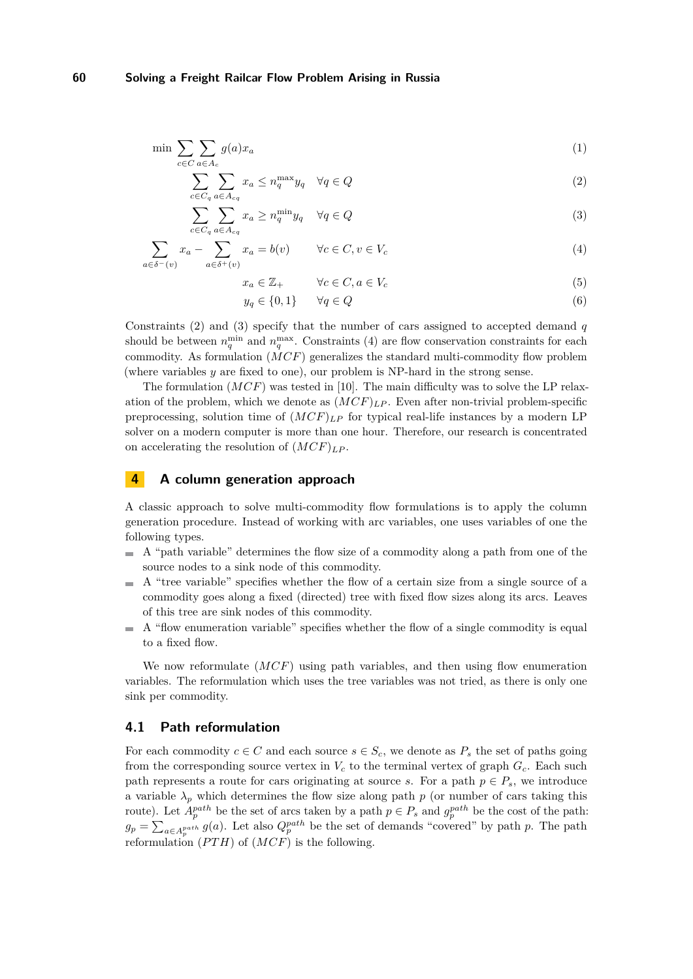$$
\min \sum_{c \in C} \sum_{a \in A_c} g(a)x_a \tag{1}
$$

$$
\sum_{c \in C_q} \sum_{a \in A_{cq}} x_a \le n_q^{\max} y_q \quad \forall q \in Q \tag{2}
$$

$$
\sum_{c \in C_q} \sum_{a \in A_{cq}} x_a \ge n_q^{\min} y_q \quad \forall q \in Q \tag{3}
$$

$$
\sum_{a \in \delta^-(v)} x_a - \sum_{a \in \delta^+(v)} x_a = b(v) \qquad \forall c \in C, v \in V_c \tag{4}
$$

<span id="page-5-2"></span><span id="page-5-1"></span><span id="page-5-0"></span>
$$
x_a \in \mathbb{Z}_+ \qquad \forall c \in C, a \in V_c \tag{5}
$$

$$
y_q \in \{0, 1\} \qquad \forall q \in Q \tag{6}
$$

Constraints [\(2\)](#page-5-0) and [\(3\)](#page-5-1) specify that the number of cars assigned to accepted demand *q* should be between  $n_q^{\text{min}}$  and  $n_q^{\text{max}}$ . Constraints [\(4\)](#page-5-2) are flow conservation constraints for each commodity. As formulation (*MCF*) generalizes the standard multi-commodity flow problem (where variables *y* are fixed to one), our problem is NP-hard in the strong sense.

The formulation (*MCF*) was tested in [\[10\]](#page-12-1). The main difficulty was to solve the LP relaxation of the problem, which we denote as  $(MCF)_{LP}$ . Even after non-trivial problem-specific preprocessing, solution time of  $(MCF)_{LP}$  for typical real-life instances by a modern LP solver on a modern computer is more than one hour. Therefore, our research is concentrated on accelerating the resolution of  $(MCF)_{LP}$ .

# **4 A column generation approach**

A classic approach to solve multi-commodity flow formulations is to apply the column generation procedure. Instead of working with arc variables, one uses variables of one the following types.

- $\blacksquare$  A "path variable" determines the flow size of a commodity along a path from one of the source nodes to a sink node of this commodity.
- $\blacksquare$  A "tree variable" specifies whether the flow of a certain size from a single source of a commodity goes along a fixed (directed) tree with fixed flow sizes along its arcs. Leaves of this tree are sink nodes of this commodity.
- A "flow enumeration variable" specifies whether the flow of a single commodity is equal  $\blacksquare$ to a fixed flow.

We now reformulate (*MCF*) using path variables, and then using flow enumeration variables. The reformulation which uses the tree variables was not tried, as there is only one sink per commodity.

## **4.1 Path reformulation**

For each commodity  $c \in C$  and each source  $s \in S_c$ , we denote as  $P_s$  the set of paths going from the corresponding source vertex in  $V_c$  to the terminal vertex of graph  $G_c$ . Each such path represents a route for cars originating at source *s*. For a path  $p \in P_s$ , we introduce a variable  $\lambda_p$  which determines the flow size along path *p* (or number of cars taking this route). Let  $A_p^{path}$  be the set of arcs taken by a path  $p \in P_s$  and  $g_p^{path}$  be the cost of the path:  $g_p = \sum_{a \in A_p^{path}} g(a)$ . Let also  $Q_p^{path}$  be the set of demands "covered" by path *p*. The path reformulation  $(PTH)$  of  $(MCF)$  is the following.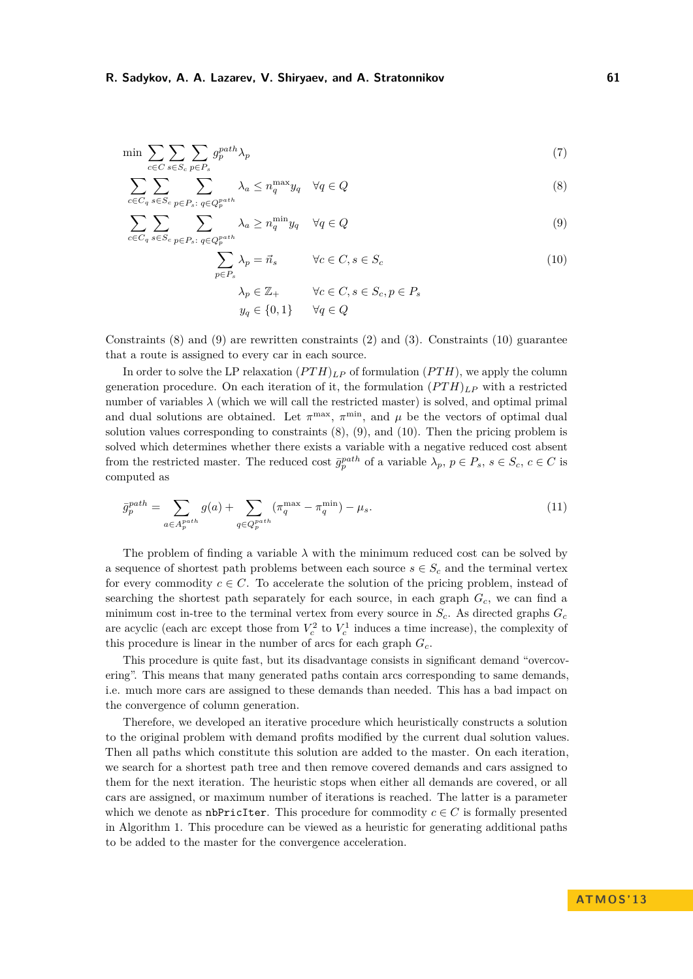$$
\min \sum_{c \in C} \sum_{s \in S_c} \sum_{p \in P_s} g_p^{path} \lambda_p \tag{7}
$$

$$
\sum_{c \in C_q} \sum_{s \in S_c} \sum_{p \in P_s: q \in Q_p^{path}} \lambda_a \le n_q^{\max} y_q \quad \forall q \in Q
$$
\n
$$
(8)
$$

$$
\sum_{c \in C_q} \sum_{s \in S_c} \sum_{p \in P_s: q \in Q_p^{path}} \lambda_a \ge n_q^{\min} y_q \quad \forall q \in Q
$$
\n(9)

<span id="page-6-2"></span><span id="page-6-1"></span><span id="page-6-0"></span>
$$
\sum_{p \in P_s} \lambda_p = \vec{n}_s \qquad \forall c \in C, s \in S_c
$$
  
\n
$$
\lambda_p \in \mathbb{Z}_+ \qquad \forall c \in C, s \in S_c, p \in P_s
$$
  
\n
$$
y_q \in \{0, 1\} \qquad \forall q \in Q
$$
  
\n(10)

Constraints  $(8)$  and  $(9)$  are rewritten constraints  $(2)$  and  $(3)$ . Constraints  $(10)$  guarantee that a route is assigned to every car in each source.

In order to solve the LP relaxation  $(PTH)_{LP}$  of formulation  $(PTH)$ , we apply the column generation procedure. On each iteration of it, the formulation  $(PTH)_{LP}$  with a restricted number of variables  $\lambda$  (which we will call the restricted master) is solved, and optimal primal and dual solutions are obtained. Let  $\pi^{\max}$ ,  $\pi^{\min}$ , and  $\mu$  be the vectors of optimal dual solution values corresponding to constraints [\(8\)](#page-6-0), [\(9\)](#page-6-1), and [\(10\)](#page-6-2). Then the pricing problem is solved which determines whether there exists a variable with a negative reduced cost absent from the restricted master. The reduced cost  $\bar{g}_p^{path}$  of a variable  $\lambda_p, p \in P_s, s \in S_c, c \in C$  is computed as

$$
\bar{g}_p^{path} = \sum_{a \in A_p^{path}} g(a) + \sum_{q \in Q_p^{path}} (\pi_q^{\max} - \pi_q^{\min}) - \mu_s.
$$
 (11)

The problem of finding a variable  $\lambda$  with the minimum reduced cost can be solved by a sequence of shortest path problems between each source  $s \in S_c$  and the terminal vertex for every commodity  $c \in C$ . To accelerate the solution of the pricing problem, instead of searching the shortest path separately for each source, in each graph *Gc*, we can find a minimum cost in-tree to the terminal vertex from every source in  $S_c$ . As directed graphs  $G_c$ are acyclic (each arc except those from  $V_c^2$  to  $V_c^1$  induces a time increase), the complexity of this procedure is linear in the number of arcs for each graph *Gc*.

This procedure is quite fast, but its disadvantage consists in significant demand "overcovering". This means that many generated paths contain arcs corresponding to same demands, i.e. much more cars are assigned to these demands than needed. This has a bad impact on the convergence of column generation.

Therefore, we developed an iterative procedure which heuristically constructs a solution to the original problem with demand profits modified by the current dual solution values. Then all paths which constitute this solution are added to the master. On each iteration, we search for a shortest path tree and then remove covered demands and cars assigned to them for the next iteration. The heuristic stops when either all demands are covered, or all cars are assigned, or maximum number of iterations is reached. The latter is a parameter which we denote as nbPricIter. This procedure for commodity  $c \in C$  is formally presented in Algorithm [1.](#page-7-0) This procedure can be viewed as a heuristic for generating additional paths to be added to the master for the convergence acceleration.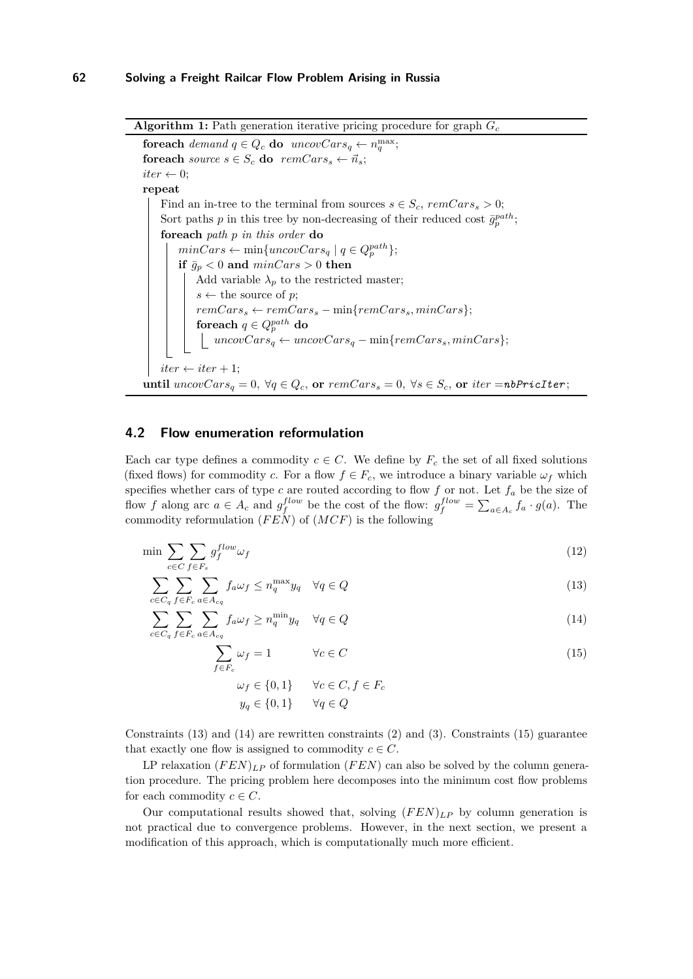**Algorithm 1:** Path generation iterative pricing procedure for graph *G<sup>c</sup>*

**foreach**  $demand q \in Q_c$  **do**  $uncovCars_q \leftarrow n_q^{\max}$ ; **foreach** *source*  $s \in S_c$  **do**  $remCars_s \leftarrow \vec{n}_s$ ;  $iter \leftarrow 0$ : **repeat** Find an in-tree to the terminal from sources  $s \in S_c$ ,  $remCars_s > 0$ ; Sort paths *p* in this tree by non-decreasing of their reduced cost  $\bar{g}^{path}_{p}$ ; **foreach** *path p in this order* **do**  $minCars \leftarrow min{uncovCars_q | q \in Q_p^{path}}$ **if**  $\bar{g}_p < 0$  and  $\minCars > 0$  **then** Add variable  $\lambda_p$  to the restricted master;  $s \leftarrow$  the source of *p*;  $remCars_s \leftarrow remCars_s - \min\{remCars_s, minCars\};$  $\mathbf{f}$ oreach  $q \in Q_p^{path}$  do  $uncovCars_q \leftarrow uncovCars_q - \min\{remCars_s, minCars\};$  $iter \leftarrow iter + 1;$ **until**  $uncovCars_q = 0$ ,  $\forall q \in Q_c$ , or  $remCars_s = 0$ ,  $\forall s \in S_c$ , or  $iter = nbPriceIter$ ;

# <span id="page-7-0"></span>**4.2 Flow enumeration reformulation**

Each car type defines a commodity  $c \in C$ . We define by  $F_c$  the set of all fixed solutions (fixed flows) for commodity *c*. For a flow  $f \in F_c$ , we introduce a binary variable  $\omega_f$  which specifies whether cars of type  $c$  are routed according to flow  $f$  or not. Let  $f_a$  be the size of flow *f* along arc  $a \in A_c$  and  $g_f^{flow}$  be the cost of the flow:  $g_f^{flow} = \sum_{a \in A_c} f_a \cdot g(a)$ . The commodity reformulation (*F EN*) of (*MCF*) is the following

$$
\min \sum_{c \in C} \sum_{f \in F_s} g_f^{flow} \omega_f \tag{12}
$$

$$
\sum_{c \in C_q} \sum_{f \in F_c} \sum_{a \in A_{cq}} f_a \omega_f \le n_q^{\max} y_q \quad \forall q \in Q \tag{13}
$$

$$
\sum_{c \in C_q} \sum_{f \in F_c} \sum_{a \in A_{cq}} f_a \omega_f \ge n_q^{\min} y_q \quad \forall q \in Q \tag{14}
$$

$$
\sum_{f \in F_c} \omega_f = 1 \qquad \forall c \in C \tag{15}
$$

<span id="page-7-3"></span><span id="page-7-2"></span><span id="page-7-1"></span>
$$
\omega_f \in \{0, 1\} \qquad \forall c \in C, f \in F_c
$$

$$
y_q \in \{0, 1\} \qquad \forall q \in Q
$$

Constraints  $(13)$  and  $(14)$  are rewritten constraints  $(2)$  and  $(3)$ . Constraints  $(15)$  guarantee that exactly one flow is assigned to commodity  $c \in C$ .

LP relaxation (*F EN*)*LP* of formulation (*F EN*) can also be solved by the column generation procedure. The pricing problem here decomposes into the minimum cost flow problems for each commodity  $c \in C$ .

Our computational results showed that, solving  $(FEN)_{LP}$  by column generation is not practical due to convergence problems. However, in the next section, we present a modification of this approach, which is computationally much more efficient.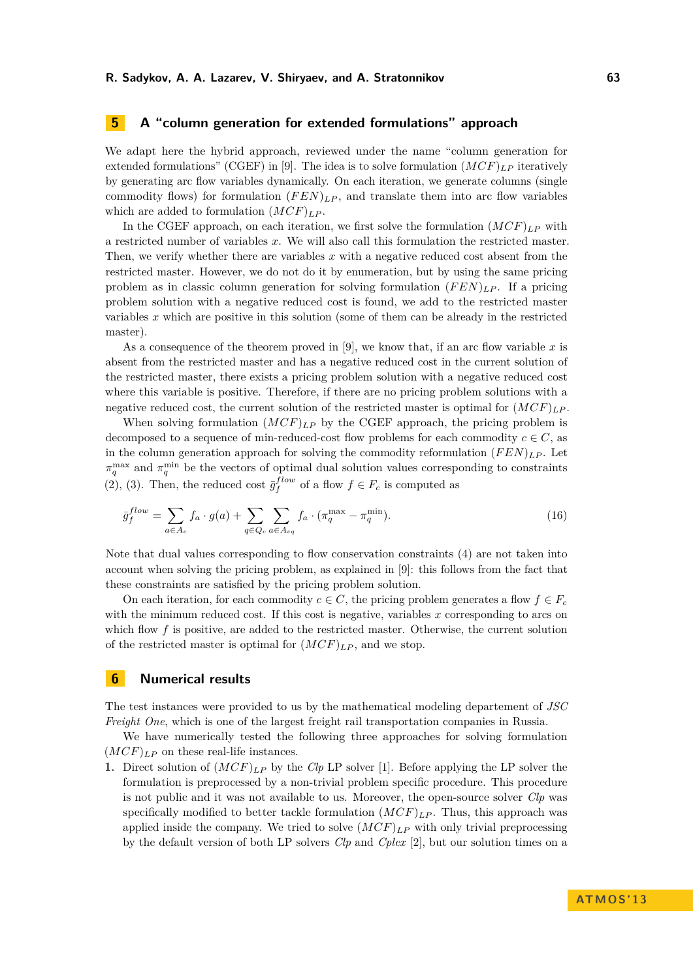# **5 A "column generation for extended formulations" approach**

We adapt here the hybrid approach, reviewed under the name "column generation for extended formulations" (CGEF) in [\[9\]](#page-12-2). The idea is to solve formulation  $(MCF)_{LP}$  iteratively by generating arc flow variables dynamically. On each iteration, we generate columns (single commodity flows) for formulation  $(FEN)_{LP}$ , and translate them into arc flow variables which are added to formulation  $(MCF)_{LP}$ .

In the CGEF approach, on each iteration, we first solve the formulation  $(MCF)_{LP}$  with a restricted number of variables *x*. We will also call this formulation the restricted master. Then, we verify whether there are variables *x* with a negative reduced cost absent from the restricted master. However, we do not do it by enumeration, but by using the same pricing problem as in classic column generation for solving formulation  $(FEN)_{LP}$ . If a pricing problem solution with a negative reduced cost is found, we add to the restricted master variables *x* which are positive in this solution (some of them can be already in the restricted master).

As a consequence of the theorem proved in [\[9\]](#page-12-2), we know that, if an arc flow variable *x* is absent from the restricted master and has a negative reduced cost in the current solution of the restricted master, there exists a pricing problem solution with a negative reduced cost where this variable is positive. Therefore, if there are no pricing problem solutions with a negative reduced cost, the current solution of the restricted master is optimal for  $(MCF)_{LP}$ .

When solving formulation  $(MCF)_{LP}$  by the CGEF approach, the pricing problem is decomposed to a sequence of min-reduced-cost flow problems for each commodity  $c \in C$ , as in the column generation approach for solving the commodity reformulation  $(FEN)_{LP}$ . Let  $\pi_q^{\text{max}}$  and  $\pi_q^{\text{min}}$  be the vectors of optimal dual solution values corresponding to constraints [\(2\)](#page-5-0), [\(3\)](#page-5-1). Then, the reduced cost  $\bar{g}_f^{flow}$  of a flow  $f \in F_c$  is computed as

$$
\bar{g}_f^{flow} = \sum_{a \in A_c} f_a \cdot g(a) + \sum_{q \in Q_c} \sum_{a \in A_{cq}} f_a \cdot (\pi_q^{\max} - \pi_q^{\min}). \tag{16}
$$

Note that dual values corresponding to flow conservation constraints [\(4\)](#page-5-2) are not taken into account when solving the pricing problem, as explained in [\[9\]](#page-12-2): this follows from the fact that these constraints are satisfied by the pricing problem solution.

On each iteration, for each commodity  $c \in C$ , the pricing problem generates a flow  $f \in F_c$ with the minimum reduced cost. If this cost is negative, variables x corresponding to arcs on which flow f is positive, are added to the restricted master. Otherwise, the current solution of the restricted master is optimal for  $(MCF)_{LP}$ , and we stop.

# **6 Numerical results**

The test instances were provided to us by the mathematical modeling departement of *JSC Freight One*, which is one of the largest freight rail transportation companies in Russia.

We have numerically tested the following three approaches for solving formulation  $(MCF)_{LP}$  on these real-life instances.

**1.** Direct solution of (*MCF*)*LP* by the *Clp* LP solver [\[1\]](#page-11-3). Before applying the LP solver the formulation is preprocessed by a non-trivial problem specific procedure. This procedure is not public and it was not available to us. Moreover, the open-source solver *Clp* was specifically modified to better tackle formulation  $(MCF)_{LP}$ . Thus, this approach was applied inside the company. We tried to solve  $(MCF)_{LP}$  with only trivial preprocessing by the default version of both LP solvers *Clp* and *Cplex* [\[2\]](#page-11-4), but our solution times on a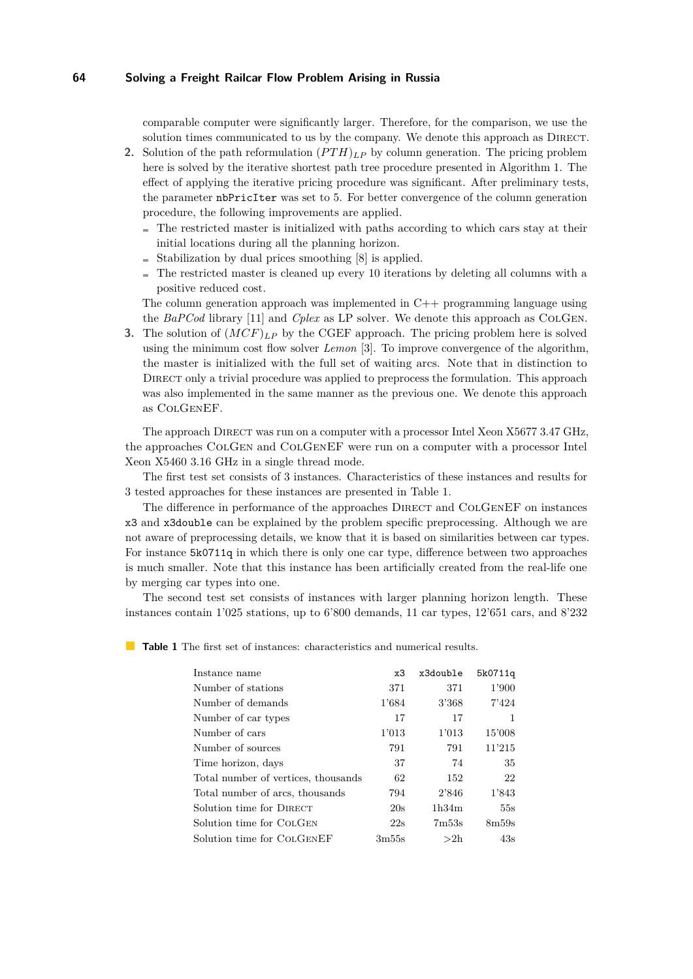comparable computer were significantly larger. Therefore, for the comparison, we use the solution times communicated to us by the company. We denote this approach as DIRECT.

- **2.** Solution of the path reformulation  $(PTH)_{LP}$  by column generation. The pricing problem here is solved by the iterative shortest path tree procedure presented in Algorithm [1.](#page-7-0) The effect of applying the iterative pricing procedure was significant. After preliminary tests, the parameter nbPricIter was set to 5. For better convergence of the column generation procedure, the following improvements are applied.
	- $\blacksquare$  The restricted master is initialized with paths according to which cars stay at their initial locations during all the planning horizon.
	- $\blacksquare$  Stabilization by dual prices smoothing [\[8\]](#page-11-5) is applied.
	- $\blacksquare$  The restricted master is cleaned up every 10 iterations by deleting all columns with a positive reduced cost.

The column generation approach was implemented in  $C++$  programming language using the *BaPCod* library [\[11\]](#page-12-3) and *Cplex* as LP solver. We denote this approach as ColGen.

**3.** The solution of (*MCF*)*LP* by the CGEF approach. The pricing problem here is solved using the minimum cost flow solver *Lemon* [\[3\]](#page-11-6). To improve convergence of the algorithm, the master is initialized with the full set of waiting arcs. Note that in distinction to DIRECT only a trivial procedure was applied to preprocess the formulation. This approach was also implemented in the same manner as the previous one. We denote this approach as ColGenEF.

The approach DIRECT was run on a computer with a processor Intel Xeon X5677 3.47 GHz, the approaches ColGen and ColGenEF were run on a computer with a processor Intel Xeon X5460 3.16 GHz in a single thread mode.

The first test set consists of 3 instances. Characteristics of these instances and results for 3 tested approaches for these instances are presented in Table [1.](#page-9-0)

The difference in performance of the approaches DIRECT and COLGENEF on instances x3 and x3double can be explained by the problem specific preprocessing. Although we are not aware of preprocessing details, we know that it is based on similarities between car types. For instance 5k0711q in which there is only one car type, difference between two approaches is much smaller. Note that this instance has been artificially created from the real-life one by merging car types into one.

The second test set consists of instances with larger planning horizon length. These instances contain 1'025 stations, up to 6'800 demands, 11 car types, 12'651 cars, and 8'232

<span id="page-9-0"></span>**Table 1** The first set of instances: characteristics and numerical results.

| Instance name                       | x3    | x3double | 5k0711q |
|-------------------------------------|-------|----------|---------|
| Number of stations                  | 371   | 371      | 1'900   |
| Number of demands                   | 1'684 | 3'368    | 7'424   |
| Number of car types                 | 17    | 17       | -1      |
| Number of cars                      | 1'013 | 1'013    | 15'008  |
| Number of sources                   | 791   | 791      | 11'215  |
| Time horizon, days                  | 37    | 74       | 35      |
| Total number of vertices, thousands | 62    | 152      | 22      |
| Total number of arcs, thousands     | 794   | 2'846    | 1'843   |
| Solution time for DIRECT            | 20s   | 1h34m    | 55s     |
| Solution time for COLGEN            | 22s   | 7m53s    | 8m59s   |
| Solution time for COLGENEF          | 3m55s | >2h      | 43s     |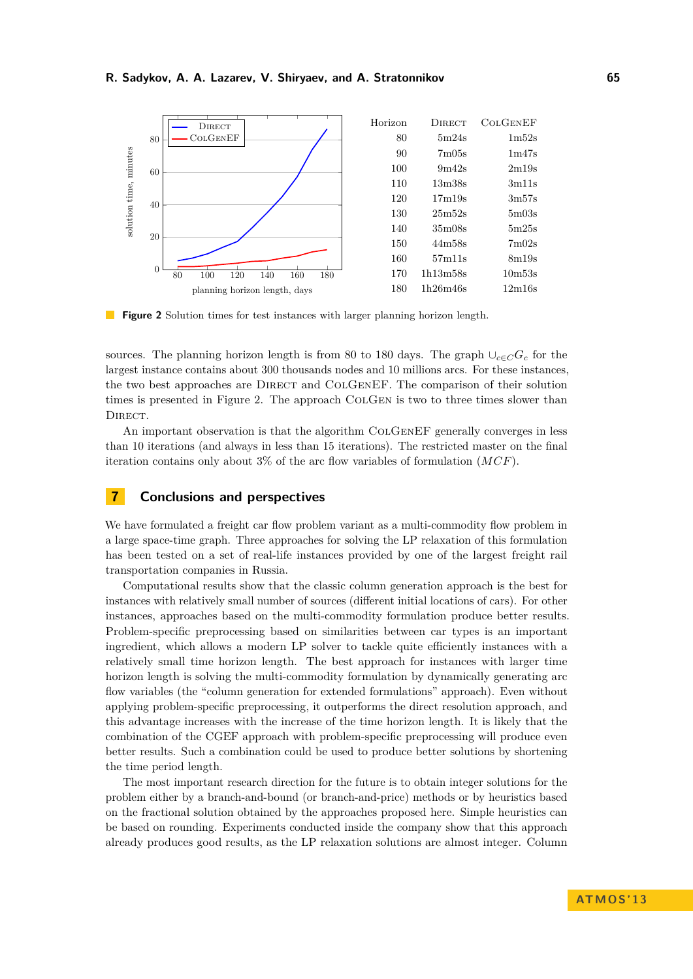<span id="page-10-0"></span>

**The State Figure 2** Solution times for test instances with larger planning horizon length.

sources. The planning horizon length is from 80 to 180 days. The graph  $\cup_{c \in C} G_c$  for the largest instance contains about 300 thousands nodes and 10 millions arcs. For these instances, the two best approaches are DIRECT and COLGENEF. The comparison of their solution times is presented in Figure [2.](#page-10-0) The approach COLGEN is two to three times slower than DIRECT.

An important observation is that the algorithm COLGENEF generally converges in less than 10 iterations (and always in less than 15 iterations). The restricted master on the final iteration contains only about 3% of the arc flow variables of formulation (*MCF*).

## **7 Conclusions and perspectives**

We have formulated a freight car flow problem variant as a multi-commodity flow problem in a large space-time graph. Three approaches for solving the LP relaxation of this formulation has been tested on a set of real-life instances provided by one of the largest freight rail transportation companies in Russia.

Computational results show that the classic column generation approach is the best for instances with relatively small number of sources (different initial locations of cars). For other instances, approaches based on the multi-commodity formulation produce better results. Problem-specific preprocessing based on similarities between car types is an important ingredient, which allows a modern LP solver to tackle quite efficiently instances with a relatively small time horizon length. The best approach for instances with larger time horizon length is solving the multi-commodity formulation by dynamically generating arc flow variables (the "column generation for extended formulations" approach). Even without applying problem-specific preprocessing, it outperforms the direct resolution approach, and this advantage increases with the increase of the time horizon length. It is likely that the combination of the CGEF approach with problem-specific preprocessing will produce even better results. Such a combination could be used to produce better solutions by shortening the time period length.

The most important research direction for the future is to obtain integer solutions for the problem either by a branch-and-bound (or branch-and-price) methods or by heuristics based on the fractional solution obtained by the approaches proposed here. Simple heuristics can be based on rounding. Experiments conducted inside the company show that this approach already produces good results, as the LP relaxation solutions are almost integer. Column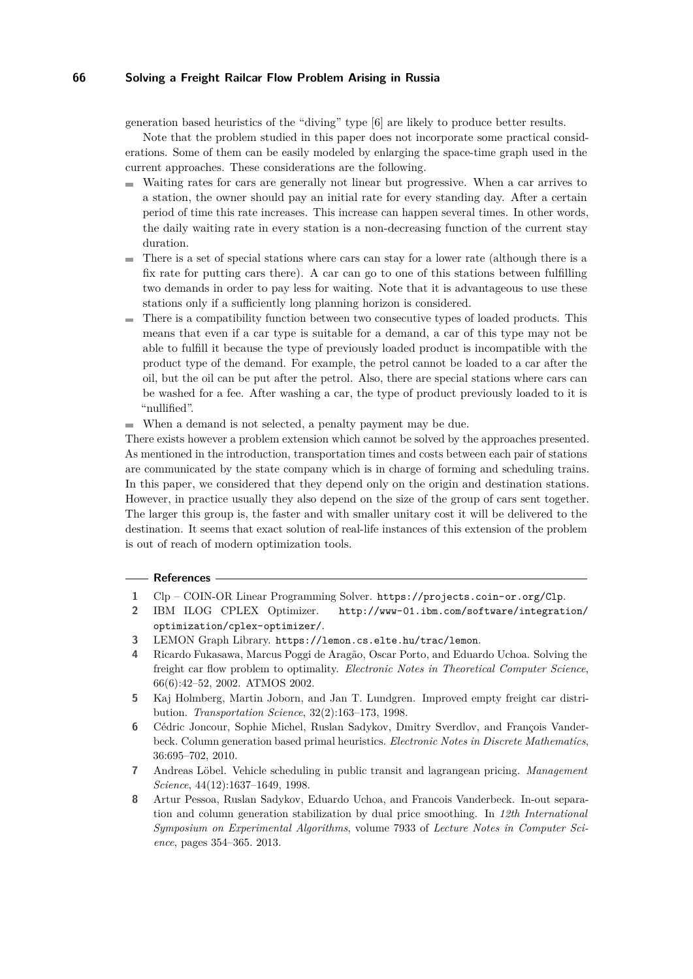generation based heuristics of the "diving" type [\[6\]](#page-11-7) are likely to produce better results.

Note that the problem studied in this paper does not incorporate some practical considerations. Some of them can be easily modeled by enlarging the space-time graph used in the current approaches. These considerations are the following.

- $\sim$ Waiting rates for cars are generally not linear but progressive. When a car arrives to a station, the owner should pay an initial rate for every standing day. After a certain period of time this rate increases. This increase can happen several times. In other words, the daily waiting rate in every station is a non-decreasing function of the current stay duration.
- There is a set of special stations where cars can stay for a lower rate (although there is a  $\sim$ fix rate for putting cars there). A car can go to one of this stations between fulfilling two demands in order to pay less for waiting. Note that it is advantageous to use these stations only if a sufficiently long planning horizon is considered.
- There is a compatibility function between two consecutive types of loaded products. This means that even if a car type is suitable for a demand, a car of this type may not be able to fulfill it because the type of previously loaded product is incompatible with the product type of the demand. For example, the petrol cannot be loaded to a car after the oil, but the oil can be put after the petrol. Also, there are special stations where cars can be washed for a fee. After washing a car, the type of product previously loaded to it is "nullified".
- When a demand is not selected, a penalty payment may be due.

There exists however a problem extension which cannot be solved by the approaches presented. As mentioned in the introduction, transportation times and costs between each pair of stations are communicated by the state company which is in charge of forming and scheduling trains. In this paper, we considered that they depend only on the origin and destination stations. However, in practice usually they also depend on the size of the group of cars sent together. The larger this group is, the faster and with smaller unitary cost it will be delivered to the destination. It seems that exact solution of real-life instances of this extension of the problem is out of reach of modern optimization tools.

#### **References**

- <span id="page-11-3"></span>**1** Clp – COIN-OR Linear Programming Solver. <https://projects.coin-or.org/Clp>.
- <span id="page-11-4"></span>**2** IBM ILOG CPLEX Optimizer. [http://www-01.ibm.com/software/integration/](http://www-01.ibm.com/software/integration/optimization/cplex-optimizer/) [optimization/cplex-optimizer/](http://www-01.ibm.com/software/integration/optimization/cplex-optimizer/).
- <span id="page-11-6"></span>**3** LEMON Graph Library. <https://lemon.cs.elte.hu/trac/lemon>.
- <span id="page-11-0"></span>**4** Ricardo Fukasawa, Marcus Poggi de Aragão, Oscar Porto, and Eduardo Uchoa. Solving the freight car flow problem to optimality. *Electronic Notes in Theoretical Computer Science*, 66(6):42–52, 2002. ATMOS 2002.
- <span id="page-11-2"></span>**5** Kaj Holmberg, Martin Joborn, and Jan T. Lundgren. Improved empty freight car distribution. *Transportation Science*, 32(2):163–173, 1998.
- <span id="page-11-7"></span>**6** Cédric Joncour, Sophie Michel, Ruslan Sadykov, Dmitry Sverdlov, and François Vanderbeck. Column generation based primal heuristics. *Electronic Notes in Discrete Mathematics*, 36:695–702, 2010.
- <span id="page-11-1"></span>**7** Andreas Löbel. Vehicle scheduling in public transit and lagrangean pricing. *Management Science*, 44(12):1637–1649, 1998.
- <span id="page-11-5"></span>**8** Artur Pessoa, Ruslan Sadykov, Eduardo Uchoa, and Francois Vanderbeck. In-out separation and column generation stabilization by dual price smoothing. In *12th International Symposium on Experimental Algorithms*, volume 7933 of *Lecture Notes in Computer Science*, pages 354–365. 2013.